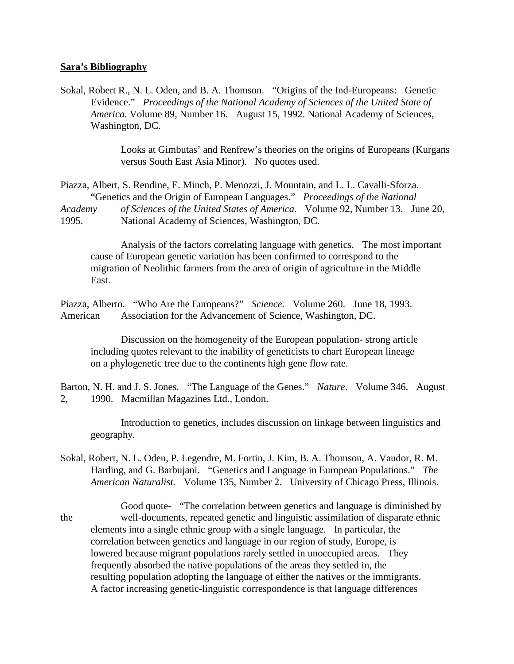## **Sara's Bibliography**

Sokal, Robert R., N. L. Oden, and B. A. Thomson. "Origins of the Ind-Europeans: Genetic Evidence." *Proceedings of the National Academy of Sciences of the United State of America.* Volume 89, Number 16. August 15, 1992. National Academy of Sciences, Washington, DC.

> Looks at Gimbutas' and Renfrew's theories on the origins of Europeans (Kurgans versus South East Asia Minor). No quotes used.

Piazza, Albert, S. Rendine, E. Minch, P. Menozzi, J. Mountain, and L. L. Cavalli-Sforza. "Genetics and the Origin of European Languages." *Proceedings of the National Academy of Sciences of the United States of America.* Volume 92, Number 13. June 20, 1995. National Academy of Sciences, Washington, DC.

Analysis of the factors correlating language with genetics. The most important cause of European genetic variation has been confirmed to correspond to the migration of Neolithic farmers from the area of origin of agriculture in the Middle East.

Piazza, Alberto. "Who Are the Europeans?" *Science.* Volume 260. June 18, 1993. American Association for the Advancement of Science, Washington, DC.

Discussion on the homogeneity of the European population- strong article including quotes relevant to the inability of geneticists to chart European lineage on a phylogenetic tree due to the continents high gene flow rate.

Barton, N. H. and J. S. Jones. "The Language of the Genes." *Nature*. Volume 346. August 2, 1990. Macmillan Magazines Ltd., London.

Introduction to genetics, includes discussion on linkage between linguistics and geography.

- Sokal, Robert, N. L. Oden, P. Legendre, M. Fortin, J. Kim, B. A. Thomson, A. Vaudor, R. M. Harding, and G. Barbujani. "Genetics and Language in European Populations." *The American Naturalist.* Volume 135, Number 2. University of Chicago Press, Illinois.
- Good quote- "The correlation between genetics and language is diminished by the well-documents, repeated genetic and linguistic assimilation of disparate ethnic elements into a single ethnic group with a single language. In particular, the correlation between genetics and language in our region of study, Europe, is lowered because migrant populations rarely settled in unoccupied areas. They frequently absorbed the native populations of the areas they settled in, the resulting population adopting the language of either the natives or the immigrants. A factor increasing genetic-linguistic correspondence is that language differences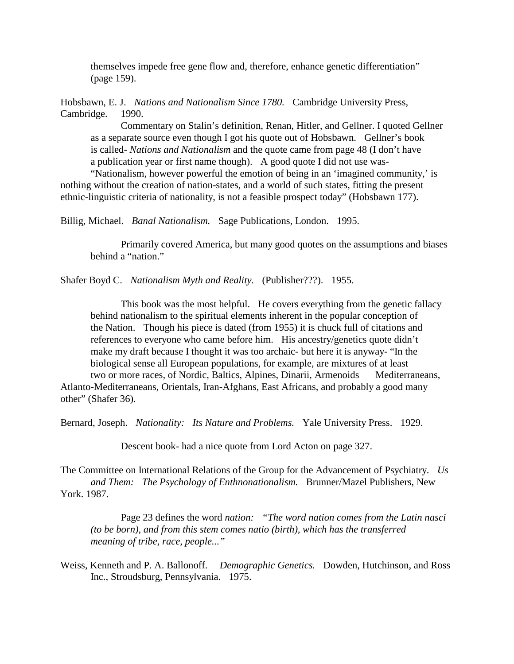themselves impede free gene flow and, therefore, enhance genetic differentiation" (page 159).

Hobsbawn, E. J. *Nations and Nationalism Since 1780.* Cambridge University Press, Cambridge. 1990.

Commentary on Stalin's definition, Renan, Hitler, and Gellner. I quoted Gellner as a separate source even though I got his quote out of Hobsbawn. Gellner's book is called- *Nations and Nationalism* and the quote came from page 48 (I don't have a publication year or first name though). A good quote I did not use was-

"Nationalism, however powerful the emotion of being in an 'imagined community,' is nothing without the creation of nation-states, and a world of such states, fitting the present ethnic-linguistic criteria of nationality, is not a feasible prospect today" (Hobsbawn 177).

Billig, Michael. *Banal Nationalism.* Sage Publications, London. 1995.

Primarily covered America, but many good quotes on the assumptions and biases behind a "nation."

Shafer Boyd C. *Nationalism Myth and Reality.* (Publisher???). 1955.

This book was the most helpful. He covers everything from the genetic fallacy behind nationalism to the spiritual elements inherent in the popular conception of the Nation. Though his piece is dated (from 1955) it is chuck full of citations and references to everyone who came before him. His ancestry/genetics quote didn't make my draft because I thought it was too archaic- but here it is anyway- "In the biological sense all European populations, for example, are mixtures of at least

two or more races, of Nordic, Baltics, Alpines, Dinarii, Armenoids Mediterraneans, Atlanto-Mediterraneans, Orientals, Iran-Afghans, East Africans, and probably a good many other" (Shafer 36).

Bernard, Joseph. *Nationality: Its Nature and Problems.* Yale University Press. 1929.

Descent book- had a nice quote from Lord Acton on page 327.

The Committee on International Relations of the Group for the Advancement of Psychiatry. *Us and Them: The Psychology of Enthnonationalism.* Brunner/Mazel Publishers, New York. 1987.

Page 23 defines the word *nation: "The word nation comes from the Latin nasci (to be born), and from this stem comes natio (birth), which has the transferred meaning of tribe, race, people..."*

Weiss, Kenneth and P. A. Ballonoff. *Demographic Genetics.* Dowden, Hutchinson, and Ross Inc., Stroudsburg, Pennsylvania. 1975.